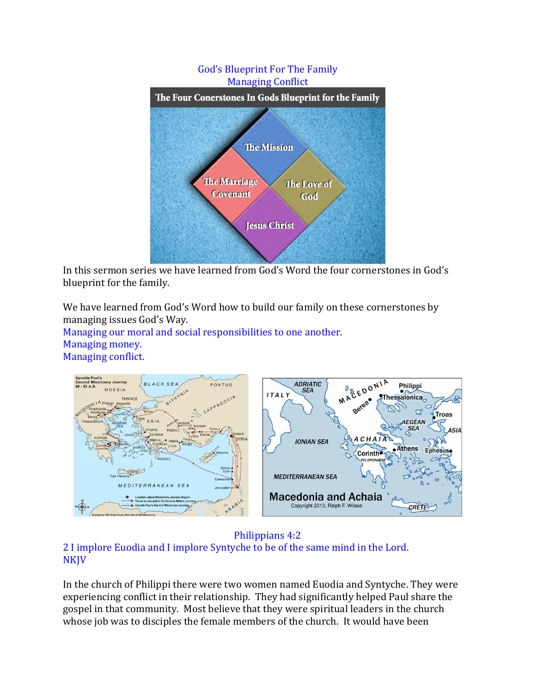

In this sermon series we have learned from God's Word the four cornerstones in God's blueprint for the family.

We have learned from God's Word how to build our family on these cornerstones by managing issues God's Way.

Managing our moral and social responsibilities to one another. Managing money. Managing conflict.



#### Philippians 4:2 2 I implore Euodia and I implore Syntyche to be of the same mind in the Lord. **NKJV**

In the church of Philippi there were two women named Euodia and Syntyche. They were experiencing conflict in their relationship. They had significantly helped Paul share the gospel in that community. Most believe that they were spiritual leaders in the church whose job was to disciples the female members of the church. It would have been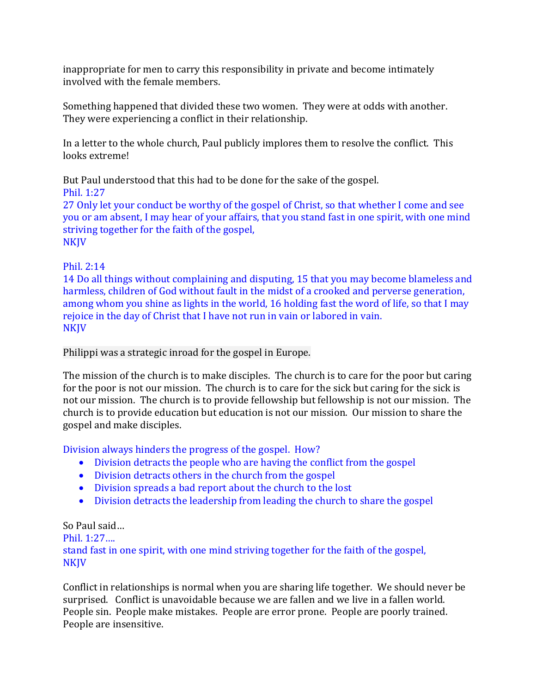inappropriate for men to carry this responsibility in private and become intimately involved with the female members.

Something happened that divided these two women. They were at odds with another. They were experiencing a conflict in their relationship.

In a letter to the whole church, Paul publicly implores them to resolve the conflict. This looks extreme!

But Paul understood that this had to be done for the sake of the gospel.

Phil. 1:27

27 Only let your conduct be worthy of the gospel of Christ, so that whether I come and see you or am absent, I may hear of your affairs, that you stand fast in one spirit, with one mind striving together for the faith of the gospel, NKJV

# Phil. 2:14

14 Do all things without complaining and disputing, 15 that you may become blameless and harmless, children of God without fault in the midst of a crooked and perverse generation, among whom you shine as lights in the world, 16 holding fast the word of life, so that I may rejoice in the day of Christ that I have not run in vain or labored in vain. **NKJV** 

## Philippi was a strategic inroad for the gospel in Europe.

The mission of the church is to make disciples. The church is to care for the poor but caring for the poor is not our mission. The church is to care for the sick but caring for the sick is not our mission. The church is to provide fellowship but fellowship is not our mission. The church is to provide education but education is not our mission. Our mission to share the gospel and make disciples.

Division always hinders the progress of the gospel. How?

- Division detracts the people who are having the conflict from the gospel
- Division detracts others in the church from the gospel
- Division spreads a bad report about the church to the lost
- Division detracts the leadership from leading the church to share the gospel

## So Paul said…

Phil. 1:27…. stand fast in one spirit, with one mind striving together for the faith of the gospel, NKJV

Conflict in relationships is normal when you are sharing life together. We should never be surprised. Conflict is unavoidable because we are fallen and we live in a fallen world. People sin. People make mistakes. People are error prone. People are poorly trained. People are insensitive.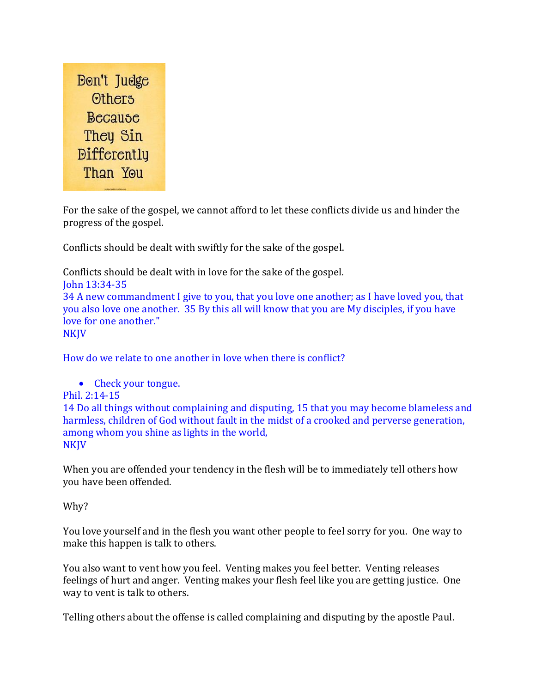

For the sake of the gospel, we cannot afford to let these conflicts divide us and hinder the progress of the gospel.

Conflicts should be dealt with swiftly for the sake of the gospel.

Conflicts should be dealt with in love for the sake of the gospel. John 13:34-35 34 A new commandment I give to you, that you love one another; as I have loved you, that you also love one another. 35 By this all will know that you are My disciples, if you have love for one another." NKJV

How do we relate to one another in love when there is conflict?

• Check your tongue.

#### Phil. 2:14-15

14 Do all things without complaining and disputing, 15 that you may become blameless and harmless, children of God without fault in the midst of a crooked and perverse generation, among whom you shine as lights in the world, **NKJV** 

When you are offended your tendency in the flesh will be to immediately tell others how you have been offended.

#### Why?

You love yourself and in the flesh you want other people to feel sorry for you. One way to make this happen is talk to others.

You also want to vent how you feel. Venting makes you feel better. Venting releases feelings of hurt and anger. Venting makes your flesh feel like you are getting justice. One way to vent is talk to others.

Telling others about the offense is called complaining and disputing by the apostle Paul.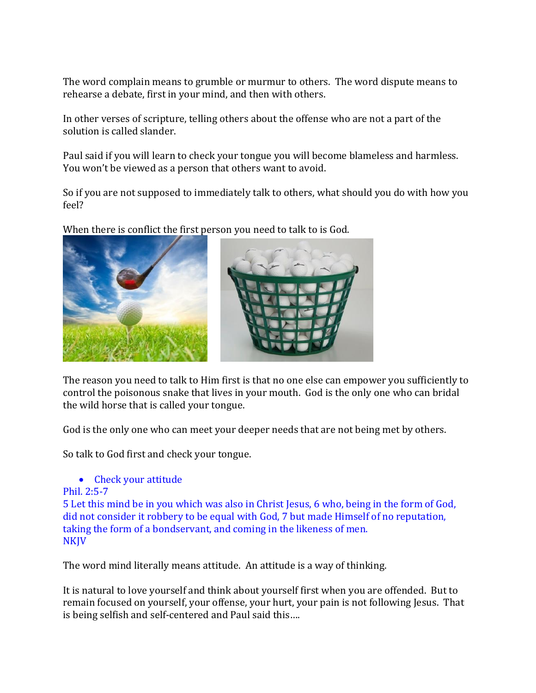The word complain means to grumble or murmur to others. The word dispute means to rehearse a debate, first in your mind, and then with others.

In other verses of scripture, telling others about the offense who are not a part of the solution is called slander.

Paul said if you will learn to check your tongue you will become blameless and harmless. You won't be viewed as a person that others want to avoid.

So if you are not supposed to immediately talk to others, what should you do with how you feel?

When there is conflict the first person you need to talk to is God.



The reason you need to talk to Him first is that no one else can empower you sufficiently to control the poisonous snake that lives in your mouth. God is the only one who can bridal the wild horse that is called your tongue.

God is the only one who can meet your deeper needs that are not being met by others.

So talk to God first and check your tongue.

## • Check your attitude

```
Phil. 2:5-7
```
5 Let this mind be in you which was also in Christ Jesus, 6 who, being in the form of God, did not consider it robbery to be equal with God, 7 but made Himself of no reputation, taking the form of a bondservant, and coming in the likeness of men. NKJV

The word mind literally means attitude. An attitude is a way of thinking.

It is natural to love yourself and think about yourself first when you are offended. But to remain focused on yourself, your offense, your hurt, your pain is not following Jesus. That is being selfish and self-centered and Paul said this….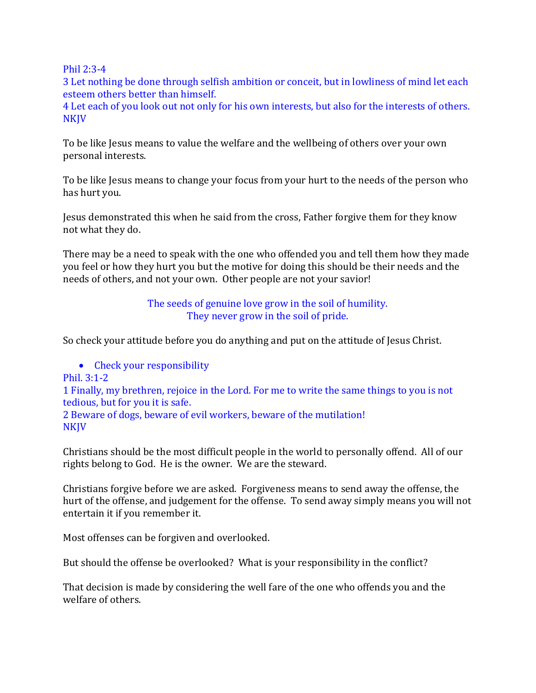Phil 2:3-4

3 Let nothing be done through selfish ambition or conceit, but in lowliness of mind let each esteem others better than himself.

4 Let each of you look out not only for his own interests, but also for the interests of others. **NKJV** 

To be like Jesus means to value the welfare and the wellbeing of others over your own personal interests.

To be like Jesus means to change your focus from your hurt to the needs of the person who has hurt you.

Jesus demonstrated this when he said from the cross, Father forgive them for they know not what they do.

There may be a need to speak with the one who offended you and tell them how they made you feel or how they hurt you but the motive for doing this should be their needs and the needs of others, and not your own. Other people are not your savior!

> The seeds of genuine love grow in the soil of humility. They never grow in the soil of pride.

So check your attitude before you do anything and put on the attitude of Jesus Christ.

• Check your responsibility Phil. 3:1-2 1 Finally, my brethren, rejoice in the Lord. For me to write the same things to you is not tedious, but for you it is safe. 2 Beware of dogs, beware of evil workers, beware of the mutilation! NKJV

Christians should be the most difficult people in the world to personally offend. All of our rights belong to God. He is the owner. We are the steward.

Christians forgive before we are asked. Forgiveness means to send away the offense, the hurt of the offense, and judgement for the offense. To send away simply means you will not entertain it if you remember it.

Most offenses can be forgiven and overlooked.

But should the offense be overlooked? What is your responsibility in the conflict?

That decision is made by considering the well fare of the one who offends you and the welfare of others.